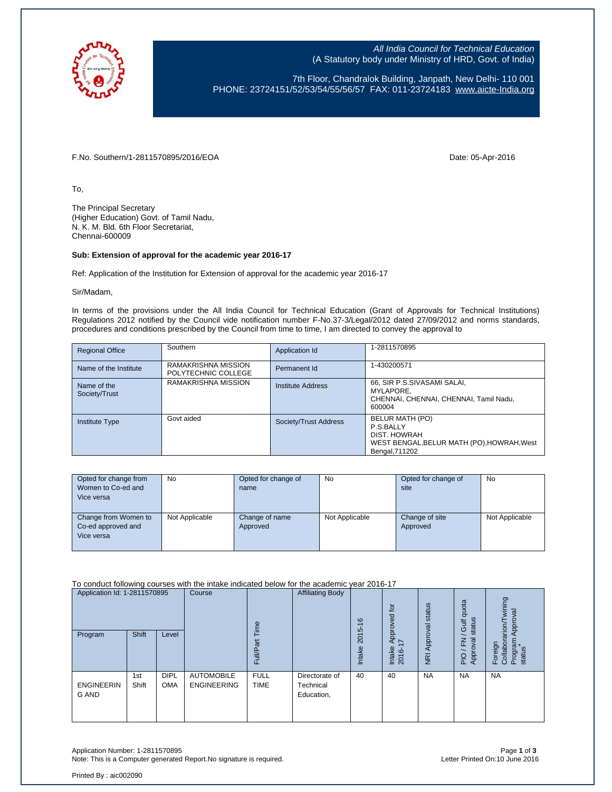

All India Council for Technical Education (A Statutory body under Ministry of HRD, Govt. of India)

7th Floor, Chandralok Building, Janpath, New Delhi- 110 001 PHONE: 23724151/52/53/54/55/56/57 FAX: 011-23724183 [www.aicte-India.org](http://www.aicte-india.org/)

F.No. Southern/1-2811570895/2016/EOA Date: 05-Apr-2016

To,

The Principal Secretary (Higher Education) Govt. of Tamil Nadu, N. K. M. Bld. 6th Floor Secretariat, Chennai-600009

## **Sub: Extension of approval for the academic year 2016-17**

Ref: Application of the Institution for Extension of approval for the academic year 2016-17

Sir/Madam,

In terms of the provisions under the All India Council for Technical Education (Grant of Approvals for Technical Institutions) Regulations 2012 notified by the Council vide notification number F-No.37-3/Legal/2012 dated 27/09/2012 and norms standards, procedures and conditions prescribed by the Council from time to time, I am directed to convey the approval to

| <b>Regional Office</b>       | Southern                                   | Application Id        | 1-2811570895                                                                                                 |
|------------------------------|--------------------------------------------|-----------------------|--------------------------------------------------------------------------------------------------------------|
| Name of the Institute        | RAMAKRISHNA MISSION<br>POLYTECHNIC COLLEGE | Permanent Id          | 1-430200571                                                                                                  |
| Name of the<br>Society/Trust | RAMAKRISHNA MISSION                        | Institute Address     | 66, SIR P.S.SIVASAMI SALAI,<br>MYLAPORE.<br>CHENNAI, CHENNAI, CHENNAI, Tamil Nadu,<br>600004                 |
| <b>Institute Type</b>        | Govt aided                                 | Society/Trust Address | BELUR MATH (PO)<br>P.S.BALLY<br>DIST. HOWRAH<br>WEST BENGAL, BELUR MATH (PO), HOWRAH, West<br>Bengal, 711202 |

| Opted for change from | No             | Opted for change of | <b>No</b>      | Opted for change of | <b>No</b>      |
|-----------------------|----------------|---------------------|----------------|---------------------|----------------|
| Women to Co-ed and    |                | name                |                | site                |                |
| Vice versa            |                |                     |                |                     |                |
|                       |                |                     |                |                     |                |
| Change from Women to  | Not Applicable | Change of name      | Not Applicable | Change of site      | Not Applicable |
| Co-ed approved and    |                | Approved            |                | Approved            |                |
| Vice versa            |                |                     |                |                     |                |
|                       |                |                     |                |                     |                |

To conduct following courses with the intake indicated below for the academic year 2016-17

| Application Id: 1-2811570895<br>Program | Shift        | Level                     | Course                                  | Φ<br>≣<br>ū.               | <b>Affiliating Body</b>                   | $\frac{6}{5}$<br>5<br><b>201</b><br><b>Intake</b> | Approved for<br>Ľ<br>Intake<br>2016- | status<br>Approval<br>$\overline{R}$ | quota<br>status<br>Gulf<br>준<br>oval<br>App<br>$\frac{1}{2}$ | wining<br>Approval<br>noins <sup>.</sup><br>Program<br>status<br>Foreign<br>Collabor<br>$\mathbf{r}$ |
|-----------------------------------------|--------------|---------------------------|-----------------------------------------|----------------------------|-------------------------------------------|---------------------------------------------------|--------------------------------------|--------------------------------------|--------------------------------------------------------------|------------------------------------------------------------------------------------------------------|
| <b>ENGINEERIN</b><br>G AND              | 1st<br>Shift | <b>DIPL</b><br><b>OMA</b> | <b>AUTOMOBILE</b><br><b>ENGINEERING</b> | <b>FULL</b><br><b>TIME</b> | Directorate of<br>Technical<br>Education, | 40                                                | 40                                   | <b>NA</b>                            | <b>NA</b>                                                    | <b>NA</b>                                                                                            |

Application Number: 1-2811570895 Page **1** of **3** Note: This is a Computer generated Report. No signature is required.

Printed By : aic002090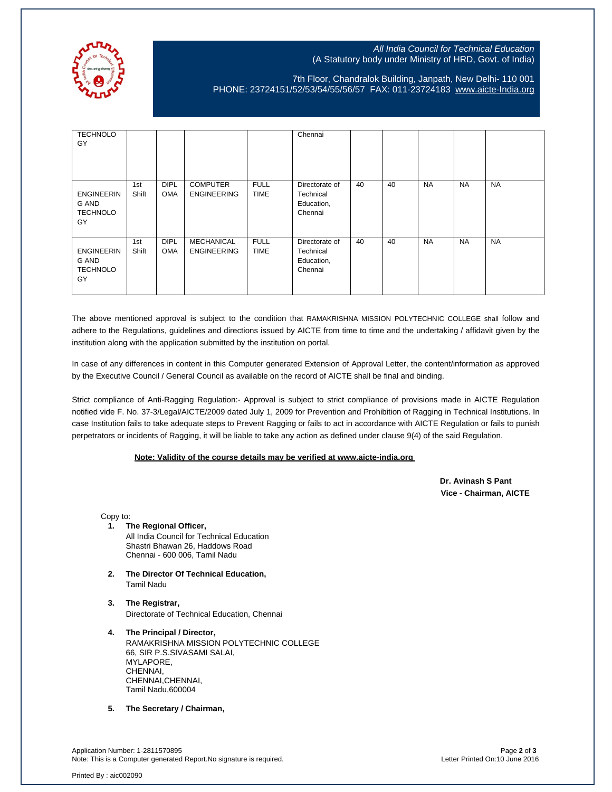

## All India Council for Technical Education (A Statutory body under Ministry of HRD, Govt. of India)

## 7th Floor, Chandralok Building, Janpath, New Delhi- 110 001 PHONE: 23724151/52/53/54/55/56/57 FAX: 011-23724183 [www.aicte-India.org](http://www.aicte-india.org/)

| <b>TECHNOLO</b><br>GY                               |              |                           |                                         |                            | Chennai                                              |    |    |           |           |           |
|-----------------------------------------------------|--------------|---------------------------|-----------------------------------------|----------------------------|------------------------------------------------------|----|----|-----------|-----------|-----------|
| <b>ENGINEERIN</b><br>G AND<br><b>TECHNOLO</b><br>GY | 1st<br>Shift | <b>DIPL</b><br><b>OMA</b> | <b>COMPUTER</b><br><b>ENGINEERING</b>   | <b>FULL</b><br><b>TIME</b> | Directorate of<br>Technical<br>Education,<br>Chennai | 40 | 40 | <b>NA</b> | <b>NA</b> | <b>NA</b> |
| <b>ENGINEERIN</b><br>G AND<br><b>TECHNOLO</b><br>GY | 1st<br>Shift | <b>DIPL</b><br><b>OMA</b> | <b>MECHANICAL</b><br><b>ENGINEERING</b> | <b>FULL</b><br><b>TIME</b> | Directorate of<br>Technical<br>Education,<br>Chennai | 40 | 40 | <b>NA</b> | <b>NA</b> | <b>NA</b> |

The above mentioned approval is subject to the condition that RAMAKRISHNA MISSION POLYTECHNIC COLLEGE shall follow and adhere to the Regulations, guidelines and directions issued by AICTE from time to time and the undertaking / affidavit given by the institution along with the application submitted by the institution on portal.

In case of any differences in content in this Computer generated Extension of Approval Letter, the content/information as approved by the Executive Council / General Council as available on the record of AICTE shall be final and binding.

Strict compliance of Anti-Ragging Regulation:- Approval is subject to strict compliance of provisions made in AICTE Regulation notified vide F. No. 37-3/Legal/AICTE/2009 dated July 1, 2009 for Prevention and Prohibition of Ragging in Technical Institutions. In case Institution fails to take adequate steps to Prevent Ragging or fails to act in accordance with AICTE Regulation or fails to punish perpetrators or incidents of Ragging, it will be liable to take any action as defined under clause 9(4) of the said Regulation.

## **Note: Validity of the course details may be verified at www.aicte-india.org**

 **Dr. Avinash S Pant Vice - Chairman, AICTE**

Copy to:

- **1. The Regional Officer,** All India Council for Technical Education Shastri Bhawan 26, Haddows Road Chennai - 600 006, Tamil Nadu
- **2. The Director Of Technical Education,** Tamil Nadu
- **3. The Registrar,** Directorate of Technical Education, Chennai
- **4. The Principal / Director,** RAMAKRISHNA MISSION POLYTECHNIC COLLEGE 66, SIR P.S.SIVASAMI SALAI, MYLAPORE, CHENNAI, CHENNAI,CHENNAI, Tamil Nadu,600004
- **5. The Secretary / Chairman,**